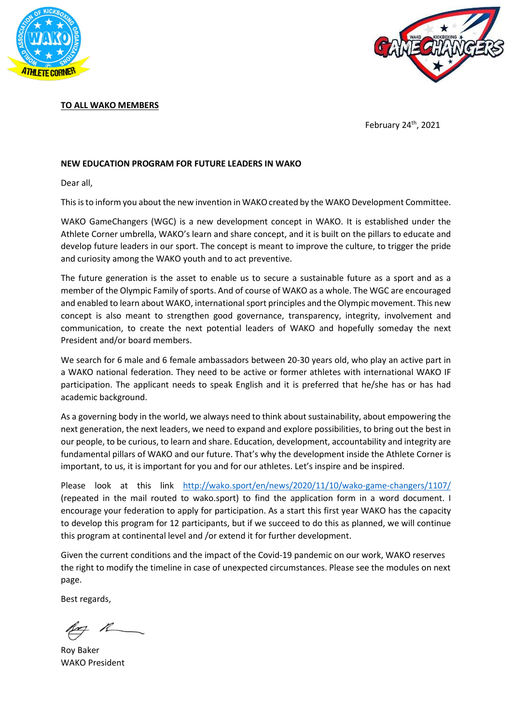



## TO ALL WAKO MEMBERS

February 24<sup>th</sup>, 2021

## NEW EDUCATION PROGRAM FOR FUTURE LEADERS IN WAKO

Dear all,

This is to inform you about the new invention in WAKO created by the WAKO Development Committee.

WAKO GameChangers (WGC) is a new development concept in WAKO. It is established under the Athlete Corner umbrella, WAKO's learn and share concept, and it is built on the pillars to educate and develop future leaders in our sport. The concept is meant to improve the culture, to trigger the pride and curiosity among the WAKO youth and to act preventive.

The future generation is the asset to enable us to secure a sustainable future as a sport and as a member of the Olympic Family of sports. And of course of WAKO as a whole. The WGC are encouraged and enabled to learn about WAKO, international sport principles and the Olympic movement. This new concept is also meant to strengthen good governance, transparency, integrity, involvement and communication, to create the next potential leaders of WAKO and hopefully someday the next President and/or board members.

We search for 6 male and 6 female ambassadors between 20-30 years old, who play an active part in a WAKO national federation. They need to be active or former athletes with international WAKO IF participation. The applicant needs to speak English and it is preferred that he/she has or has had academic background.

As a governing body in the world, we always need to think about sustainability, about empowering the next generation, the next leaders, we need to expand and explore possibilities, to bring out the best in our people, to be curious, to learn and share. Education, development, accountability and integrity are fundamental pillars of WAKO and our future. That's why the development inside the Athlete Corner is important, to us, it is important for you and for our athletes. Let's inspire and be inspired.

Please look at this link http://wako.sport/en/news/2020/11/10/wako-game-changers/1107/ (repeated in the mail routed to wako.sport) to find the application form in a word document. I encourage your federation to apply for participation. As a start this first year WAKO has the capacity to develop this program for 12 participants, but if we succeed to do this as planned, we will continue this program at continental level and /or extend it for further development.

Given the current conditions and the impact of the Covid-19 pandemic on our work, WAKO reserves the right to modify the timeline in case of unexpected circumstances. Please see the modules on next page.

Best regards,

Roy Baker WAKO President